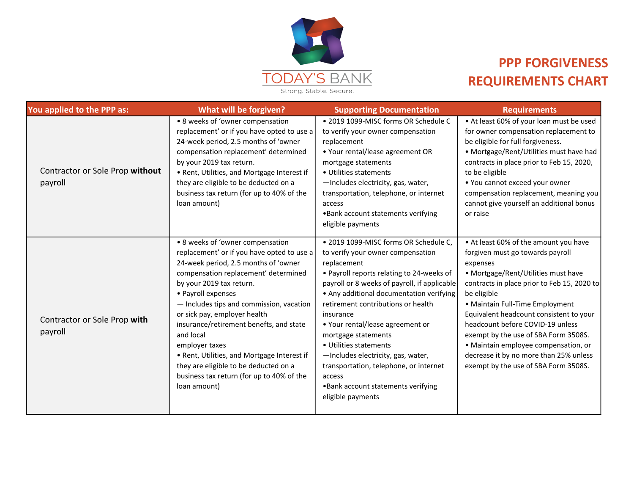

## PPP FORGIVENESS REQUIREMENTS CHART

| You applied to the PPP as:                 | What will be forgiven?                                                                                                                                                                                                                                                                                                                                                                                                                                                                                                      | <b>Supporting Documentation</b>                                                                                                                                                                                                                                                                                                                                                                                                                                                                                                  | <b>Requirements</b>                                                                                                                                                                                                                                                                                                                                                                                                                                                            |
|--------------------------------------------|-----------------------------------------------------------------------------------------------------------------------------------------------------------------------------------------------------------------------------------------------------------------------------------------------------------------------------------------------------------------------------------------------------------------------------------------------------------------------------------------------------------------------------|----------------------------------------------------------------------------------------------------------------------------------------------------------------------------------------------------------------------------------------------------------------------------------------------------------------------------------------------------------------------------------------------------------------------------------------------------------------------------------------------------------------------------------|--------------------------------------------------------------------------------------------------------------------------------------------------------------------------------------------------------------------------------------------------------------------------------------------------------------------------------------------------------------------------------------------------------------------------------------------------------------------------------|
| Contractor or Sole Prop without<br>payroll | • 8 weeks of 'owner compensation<br>replacement' or if you have opted to use a<br>24-week period, 2.5 months of 'owner<br>compensation replacement' determined<br>by your 2019 tax return.<br>• Rent, Utilities, and Mortgage Interest if<br>they are eligible to be deducted on a<br>business tax return (for up to 40% of the<br>loan amount)                                                                                                                                                                             | . 2019 1099-MISC forms OR Schedule C<br>to verify your owner compensation<br>replacement<br>• Your rental/lease agreement OR<br>mortgage statements<br>• Utilities statements<br>-Includes electricity, gas, water,<br>transportation, telephone, or internet<br>access<br>. Bank account statements verifying<br>eligible payments                                                                                                                                                                                              | • At least 60% of your loan must be used<br>for owner compensation replacement to<br>be eligible for full forgiveness.<br>• Mortgage/Rent/Utilities must have had<br>contracts in place prior to Feb 15, 2020,<br>to be eligible<br>• You cannot exceed your owner<br>compensation replacement, meaning you<br>cannot give yourself an additional bonus<br>or raise                                                                                                            |
| Contractor or Sole Prop with<br>payroll    | • 8 weeks of 'owner compensation<br>replacement' or if you have opted to use a<br>24-week period, 2.5 months of 'owner<br>compensation replacement' determined<br>by your 2019 tax return.<br>• Payroll expenses<br>- Includes tips and commission, vacation<br>or sick pay, employer health<br>insurance/retirement benefts, and state<br>and local<br>employer taxes<br>• Rent, Utilities, and Mortgage Interest if<br>they are eligible to be deducted on a<br>business tax return (for up to 40% of the<br>loan amount) | · 2019 1099-MISC forms OR Schedule C,<br>to verify your owner compensation<br>replacement<br>• Payroll reports relating to 24-weeks of<br>payroll or 8 weeks of payroll, if applicable<br>• Any additional documentation verifying<br>retirement contributions or health<br>insurance<br>• Your rental/lease agreement or<br>mortgage statements<br>• Utilities statements<br>-Includes electricity, gas, water,<br>transportation, telephone, or internet<br>access<br>. Bank account statements verifying<br>eligible payments | • At least 60% of the amount you have<br>forgiven must go towards payroll<br>expenses<br>• Mortgage/Rent/Utilities must have<br>contracts in place prior to Feb 15, 2020 to<br>be eligible<br>• Maintain Full-Time Employment<br>Equivalent headcount consistent to your<br>headcount before COVID-19 unless<br>exempt by the use of SBA Form 3508S.<br>• Maintain employee compensation, or<br>decrease it by no more than 25% unless<br>exempt by the use of SBA Form 3508S. |